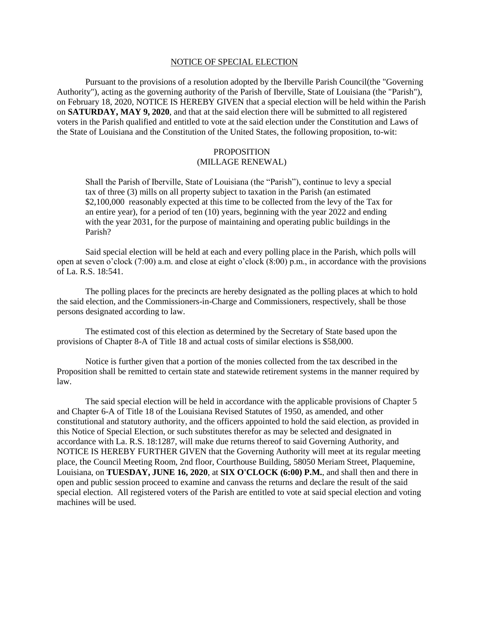## NOTICE OF SPECIAL ELECTION

Pursuant to the provisions of a resolution adopted by the Iberville Parish Council(the "Governing Authority"), acting as the governing authority of the Parish of Iberville, State of Louisiana (the "Parish"), on February 18, 2020, NOTICE IS HEREBY GIVEN that a special election will be held within the Parish on **SATURDAY, MAY 9, 2020**, and that at the said election there will be submitted to all registered voters in the Parish qualified and entitled to vote at the said election under the Constitution and Laws of the State of Louisiana and the Constitution of the United States, the following proposition, to-wit:

## PROPOSITION (MILLAGE RENEWAL)

Shall the Parish of Iberville, State of Louisiana (the "Parish"), continue to levy a special tax of three (3) mills on all property subject to taxation in the Parish (an estimated \$2,100,000 reasonably expected at this time to be collected from the levy of the Tax for an entire year), for a period of ten (10) years, beginning with the year 2022 and ending with the year 2031, for the purpose of maintaining and operating public buildings in the Parish?

Said special election will be held at each and every polling place in the Parish, which polls will open at seven o'clock (7:00) a.m. and close at eight o'clock (8:00) p.m., in accordance with the provisions of La. R.S. 18:541.

The polling places for the precincts are hereby designated as the polling places at which to hold the said election, and the Commissioners-in-Charge and Commissioners, respectively, shall be those persons designated according to law.

The estimated cost of this election as determined by the Secretary of State based upon the provisions of Chapter 8-A of Title 18 and actual costs of similar elections is \$58,000.

Notice is further given that a portion of the monies collected from the tax described in the Proposition shall be remitted to certain state and statewide retirement systems in the manner required by law.

The said special election will be held in accordance with the applicable provisions of Chapter 5 and Chapter 6-A of Title 18 of the Louisiana Revised Statutes of 1950, as amended, and other constitutional and statutory authority, and the officers appointed to hold the said election, as provided in this Notice of Special Election, or such substitutes therefor as may be selected and designated in accordance with La. R.S. 18:1287, will make due returns thereof to said Governing Authority, and NOTICE IS HEREBY FURTHER GIVEN that the Governing Authority will meet at its regular meeting place, the Council Meeting Room, 2nd floor, Courthouse Building, 58050 Meriam Street, Plaquemine, Louisiana, on **TUESDAY, JUNE 16, 2020**, at **SIX O'CLOCK (6:00) P.M.**, and shall then and there in open and public session proceed to examine and canvass the returns and declare the result of the said special election. All registered voters of the Parish are entitled to vote at said special election and voting machines will be used.